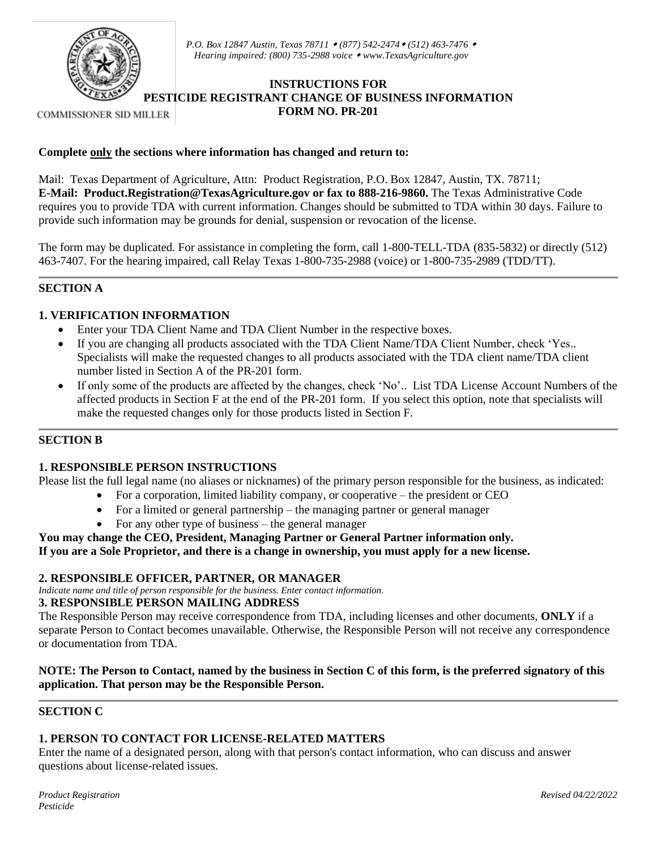

*P.O. Box 12847 Austin, Texas 78711 (877) 542-2474 (512) 463-7476 Hearing impaired: (800) 735-2988 voice [www.TexasAgriculture.gov](http://www.agr.state.tx.us/)*

# **INSTRUCTIONS FOR PESTICIDE REGISTRANT CHANGE OF BUSINESS INFORMATION FORM NO. PR-201**

**COMMISSIONER SID MILLER** 

#### **Complete only the sections where information has changed and return to:**

Mail: Texas Department of Agriculture, Attn: Product Registration, P.O. Box 12847, Austin, TX. 78711; **E-Mail: Product.Registration@TexasAgriculture.gov or fax to 888-216-9860.** The Texas Administrative Code requires you to provide TDA with current information. Changes should be submitted to TDA within 30 days. Failure to provide such information may be grounds for denial, suspension or revocation of the license.

The form may be duplicated. For assistance in completing the form, call 1-800-TELL-TDA (835-5832) or directly (512) 463-7407. For the hearing impaired, call Relay Texas 1-800-735-2988 (voice) or 1-800-735-2989 (TDD/TT).

# **SECTION A**

# **1. VERIFICATION INFORMATION**

- Enter your TDA Client Name and TDA Client Number in the respective boxes.
- If you are changing all products associated with the TDA Client Name/TDA Client Number, check 'Yes.. Specialists will make the requested changes to all products associated with the TDA client name/TDA client number listed in Section A of the PR-201 form.
- If only some of the products are affected by the changes, check 'No'.. List TDA License Account Numbers of the affected products in Section F at the end of the PR-201 form. If you select this option, note that specialists will make the requested changes only for those products listed in Section F.

# **SECTION B**

#### **1. RESPONSIBLE PERSON INSTRUCTIONS**

Please list the full legal name (no aliases or nicknames) of the primary person responsible for the business, as indicated:

- For a corporation, limited liability company, or cooperative the president or CEO
- For a limited or general partnership the managing partner or general manager
- For any other type of business  $-$  the general manager

# **You may change the CEO, President, Managing Partner or General Partner information only.**

**If you are a Sole Proprietor, and there is a change in ownership, you must apply for a new license.**

#### **2. RESPONSIBLE OFFICER, PARTNER, OR MANAGER**

*Indicate name and title of person responsible for the business. Enter contact information.* 

#### **3. RESPONSIBLE PERSON MAILING ADDRESS**

The Responsible Person may receive correspondence from TDA, including licenses and other documents, **ONLY** if a separate Person to Contact becomes unavailable. Otherwise, the Responsible Person will not receive any correspondence or documentation from TDA.

# **NOTE: The Person to Contact, named by the business in Section C of this form, is the preferred signatory of this application. That person may be the Responsible Person.**

#### **SECTION C**

# **1. PERSON TO CONTACT FOR LICENSE-RELATED MATTERS**

Enter the name of a designated person, along with that person's contact information, who can discuss and answer questions about license-related issues.